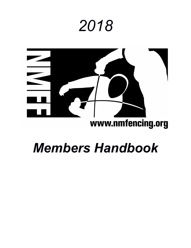# *2018*



## www.nmfencing.org

# *Members Handbook*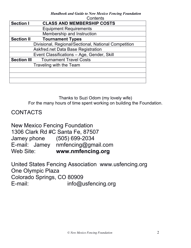#### *Handbook and Guide to New Mexico Fencing Foundation* Contante

|                    | UUIIIGIILS                                           |  |  |
|--------------------|------------------------------------------------------|--|--|
| <b>Section I</b>   | <b>CLASS AND MEMBERSHIP COSTS</b>                    |  |  |
|                    | <b>Equipment Requirements</b>                        |  |  |
|                    | Membership and Instruction                           |  |  |
| <b>Section II</b>  | <b>Tournament Types</b>                              |  |  |
|                    | Divisional, Regional/Sectional, National Competition |  |  |
|                    | Askfred.net Data Base Registration                   |  |  |
|                    | Event Classifications - Age, Gender, Skill           |  |  |
| <b>Section III</b> | <b>Tournament Travel Costs</b>                       |  |  |
|                    | Traveling with the Team                              |  |  |
|                    |                                                      |  |  |
|                    |                                                      |  |  |
|                    |                                                      |  |  |

Thanks to Suzi Odom (my lovely wife) For the many hours of time spent working on building the Foundation.

### CONTACTS

New Mexico Fencing Foundation 1306 Clark Rd #C Santa Fe, 87507 Jamey phone (505) 699-2034 E-mail: Jamey nmfencing@gmail.com Web Site: **www.nmfencing.org**

United States Fencing Association www.usfencing.org One Olympic Plaza Colorado Springs, CO 80909 E-mail: info@usfencing.org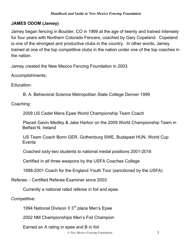#### **JAMES ODOM (Jamey)**

Jamey began fencing in Boulder, CO in 1989 at the age of twenty and trained intensely for four years with Northern Colorado Fencers, coached by Gary Copeland. Copeland is one of the strongest and productive clubs in the country. In other words, Jamey trained at one of the top competitive clubs in the nation under one of the top coaches in the nation.

Jamey created the New Mexico Fencing Foundation in 2003.

Accomplishments;

Education:

B. A. Behavioral Science Metropolitan State College Denver 1999

Coaching:

2009 US Cadet Mens Epee World Championship Team Coach

Placed Gavin Medley & Jake Harbor on the 2009 World Championship Team in Belfast N. Ireland

US Team Coach Bonn GER, Gothenburg SWE, Budapest HUN, World Cup **Events** 

Coached sixty-two students to national medal positions 2001-2016

Certified in all three weapons by the USFA Coaches College

1998-2001 Coach for the England Youth Tour (sanctioned by the USFA)

Referee: - Certified Referee Examiner since 2003

Currently a national rated referee in foil and epee.

Competitive:

1994 National Division II 3<sup>rd</sup> place Men's Epee

2002 NM Championships Men's Foil Champion

Earned an A rating in epee and B in foil

*© New Mexico Fencing Foundation* 3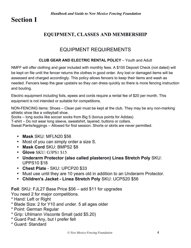## **Section I**

#### **EQUIPMENT, CLASSES AND MEMBERSHIP**

#### EQUIPMENT REQUIREMENTS

#### **CLUB GEAR AND ELECTRIC RENTAL POLICY** – Youth and Adult

NMFF will offer clothing and gear included with monthly fees. A \$100 Deposit Check (not dated) will be kept on file until the fencer returns the clothes in good order. Any lost or damaged items will be assessed and charged accordingly. This policy allows fencers to keep their items and wash as needed. Fencers keep the gear upstairs so they can dress quickly so there is more fencing instruction and bouting.

Electric equipment including foils, epees and cords require a rental fee of \$20 per month. This equipment is not intended or suitable for competitions.

NON-FENCING items: Shoes – Clean pair must be kept at the club. They may be any non-marking athletic shoe like a volleyball shoe.

Socks – long socks like soccer socks from Big 5 (bonus points for Adidas)

T-shirt – Do not wear long sleeve, sweatshirt, layered, buttons or collars.

Sweat Pants/leggings – Allowed for first session. Shorts or skirts are never permitted.

- **Mask** SKU: MFLN20 \$56
- Most of you can simply order a size S.
- **Mask Cord** SKU: BMPS2 \$8
- **Glove** SKU: G3PS1 \$15
- **Underarm Protector (also called plasteron) Linea Stretch Poly** SKU: UPPS10 \$18
- **Chest Plate** SKU: UPCP20 \$33
- Must use until they are 10 years old in addition to an Underarm Protector.
- **Children's Jacket - Linea Stretch Poly** SKU: UCPS20 \$56

**Foil**: SKU: FJL27 Base Price \$56 – add \$11 for upgrades

You need 2 for major competitions.

- \* Hand: Left or Right
- \* Blade Size: 2 for Y10 and under. 5 all ages older
- \* Point: German Regular
- \* Grip: Uhlmann Visconte Small (add \$5.20)
- \* Guard Pad: Any, but I prefer felt
- \* Guard: Standard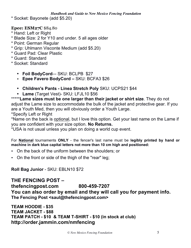*Handbook and Guide to New Mexico Fencing Foundation*

\* Socket: Bayonete (add \$5.20)

#### **Epee: ESM27C** \$84.80

- \* Hand: Left or Right
- \* Blade Size: 2 for Y10 and under. 5 all ages older
- \* Point: German Regular
- \* Grip: Uhlmann Visconte Medium (add \$5.20)
- \* Guard Pad: Clear Plastic
- \* Guard: Standard
- \* Socket: Standard
	- **Foil BodyCord**–- SKU: BCLPB \$27
	- **Epee Favero BodyCord –** SKU: BCFA3 \$26
	- **Children's Pants - Linea Stretch Poly** SKU: UCPS21 \$44
	- **Lame** (Target Vest)- SKU: LFJL10 \$56

\*\*\*\*\***Lame sizes must be one larger than their jacket or shirt size**. They do not adjust the Lame size to accommodate the bulk of the jacket and protective gear. If you are a Youth Med, then you will obviously order a Youth Large. \*Specify Left or Right

\*Name on the back is optional, but I love this option. Get your last name on the Lame if you are confident with your size option. **No Returns.**

\*USA is not usual unless you plan on doing a world cup event.

For **National** tournaments **ONLY** - the fencer's last name must be **legibly printed by hand or machine in dark blue capital letters not more than 10 cm high and positioned:**

- On the back of the uniform between the shoulders; or
- On the front or side of the thigh of the "rear" leg;

**Roll Bag Junior** - SKU: EBLN10 \$72

**THE FENCING POST – thefencingpost.com 800-459-7207 You can also order by email and they will call you for payment info. The Fencing Post <saul@thefencingpost.com>**

**TEAM HOODIE - \$35 TEAM JACKET - \$88 TEAM PATCH - \$10 & TEAM T-SHIRT - \$10 (in stock at club) http://order.jammin.com/nmfencing**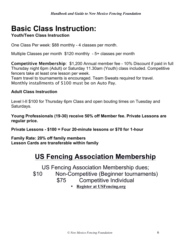## **Basic Class Instruction:**

#### **Youth/Teen Class Instruction**

One Class Per week: \$88 monthly - 4 classes per month.

Multiple Classes per month \$120 monthly - 5+ classes per month

**Competitive Membership**: \$1,200 Annual member fee - 10% Discount if paid in full Thursday night 6pm (Adult) or Saturday 11.30am (Youth) class included. Competitive fencers take at least one lesson per week.

Team travel to tournaments is encouraged. Team Sweats required for travel. Monthly installments of \$100 must be on Auto Pay.

#### **Adult Class Instruction**

Level I-II \$100 for Thursday 6pm Class and open bouting times on Tuesday and Saturdays.

**Young Professionals (19-30) receive 50% off Member fee. Private Lessons are regular price.**

**Private Lessons - \$100 = Four 20-minute lessons or \$70 for 1-hour**

**Family Rate: 20% off family members Lesson Cards are transferable within family**

## **US Fencing Association Membership**

US Fencing Association Membership dues;

\$10 Non-Competitive (Beginner tournaments)

\$75 Competitive Individual

• **Register at USFencing.org**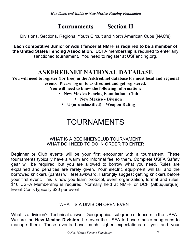## **Tournaments Section II**

Divisions, Sections, Regional Youth Circuit and North American Cups (NAC's)

**Each competitive Junior or Adult fencer at NMFF is required to be a member of the United States Fencing Association**. USFA membership is required to enter any sanctioned tournament. You need to register at USFencing.org.

## **ASKFRED.NET NATIONAL DATABASE**

**You will need to register (for free) in the Askfred.net database for most local and regional events. Please log on to askfred.net and get registered.**

**You will need to know the following information:**

- **New Mexico Fencing Foundation - Club**
	- **New Mexico - Division**
	- **U (or unclassified) – Weapon Rating**

## TOURNAMENTS

#### WHAT IS A BEGINNER/CLUB TOURNAMENT WHAT DO I NEED TO DO IN ORDER TO ENTER

Beginner or Club events will be your first encounter with a tournament. These tournaments typically have a warm and informal feel to them. Complete USFA Safety gear will be required, but you are allowed to borrow what you need. Rules are explained and penalties are rarely given. Your electric equipment will fail and the borrowed knickers (pants) will feel awkward. I strongly suggest getting knickers before your first event. This is how you learn protocol, event organization, format and rules. \$10 USFA Membership is required. Normally held at NMFF or DCF (Albuquerque). Event Costs typically \$20 per event.

#### WHAT IS A DIVISION OPEN EVENT

What is a division? Technical answer: Geographical subgroup of fencers in the USFA. We are the **New Mexico Division**. It serves the USFA to have smaller subgroups to manage them. These events have much higher expectations of you and your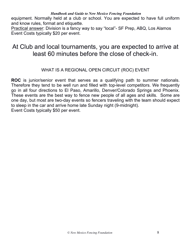equipment. Normally held at a club or school. You are expected to have full uniform and know rules, format and etiquette.

Practical answer: Division is a fancy way to say "local"- SF Prep, ABQ, Los Alamos Event Costs typically \$20 per event.

## At Club and local tournaments, you are expected to arrive at least 60 minutes before the close of check-in.

#### WHAT IS A REGIONAL OPEN CIRCUIT (ROC) EVENT

**ROC** is junior/senior event that serves as a qualifying path to summer nationals. Therefore they tend to be well run and filled with top-level competitors. We frequently go in all four directions to El Paso, Amarillo, Denver/Colorado Springs and Phoenix. These events are the best way to fence new people of all ages and skills. Some are one day, but most are two-day events so fencers traveling with the team should expect to sleep in the car and arrive home late Sunday night (9-midnight). Event Costs typically \$50 per event.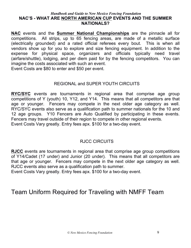#### *Handbook and Guide to New Mexico Fencing Foundation* **NAC'S - WHAT ARE NORTH AMERICAN CUP EVENTS AND THE SUMMER NATIONALS?**

**NAC** events and the **Summer National Championships** are the pinnacle all for competitions. All strips, up to 65 fencing areas, are made of a metallic surface (electrically grounded) and a rated official referees every bout. This is when all vendors show up for you to explore and size fencing equipment. In addition to the expense for physical space, organizers and officials typically need travel (airfare/shuttle), lodging, and per diem paid for by the fencing competitors. You can imagine the costs associated with such an event.

Event Costs are \$80 to enter and \$50 per event.

#### REGIONAL and SUPER YOUTH CIRCUITS

**RYC/SYC** events are tournaments in regional area that comprise age group competitions of Y (youth) 10, Y12, and Y14. This means that all competitors are that age or younger. Fencers may compete in the next older age category as well. RYC/SYC events also serve as a qualification path to summer nationals for the 10 and 12 age groups. Y10 Fencers are Auto Qualified by participating in these events. Fencers may travel outside of their region to compete in other regional events. Event Costs Vary greatly. Entry fees apx. \$100 for a two-day event.

#### RJCC CIRCUITS

**RJCC** events are tournaments in regional area that comprise age group competitions of Y14/Cadet (17 under) and Junior (20 under). This means that all competitors are that age or younger. Fencers may compete in the next older age category as well. RJCC events also serve as a qualification path to summer.

Event Costs Vary greatly. Entry fees apx. \$100 for a two-day event.

## Team Uniform Required for Traveling with NMFF Team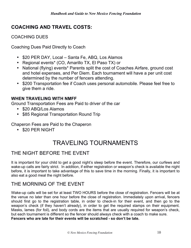### **COACHING AND TRAVEL COSTS:**

COACHING DUES

Coaching Dues Paid Directly to Coach

- \$20 PER DAY, Local Santa Fe, ABQ, Los Alamos
- Regional events\* (CO, Amarillo TX, El Paso TX) or
- National (flying) events\* Parents split the cost of Coaches Airfare, ground cost and hotel expenses, and Per Diem. Each tournament will have a per unit cost determined by the number of fencers attending.
- \$200 Transportation fee if Coach uses personal automobile. Please feel free to give them a ride.

#### **WHEN TRAVELING WITH NMFF**

Ground Transportation Fees are Paid to driver of the car

- \$20 ABQ/Los Alamos
- \$85 Regional Transportation Round Trip

Chaperon Fees are Paid to the Chaperon

• \$20 PER NIGHT

## TRAVELING TOURNAMENTS

#### THE NIGHT BEFORE THE EVENT

It is important for your child to get a good night's sleep before the event. Therefore, our curfews and wake-up calls are fairly strict. In addition, if either registration or weapon's check is available the night before, it is important to take advantage of this to save time in the morning. Finally, it is important to also eat a good meal the night before.

#### THE MORNING OF THE EVENT

Wake-up calls will be set for at least TWO HOURS before the close of registration. Fencers will be at the venue no later than one hour before the close of registration. Immediately upon arrival, fencers should first go to the registration table, in order to check-in for their event, and then go to the weapon's check (if they haven't already), in order to get the required stamps on their equipment. Masks, lames (for foil), and body cords are the items that are usually required for weapon's check, but each tournament is different so the fencer should always check with a coach to make sure. **Fencers who are late for their events will be scratched - so don't be late.**